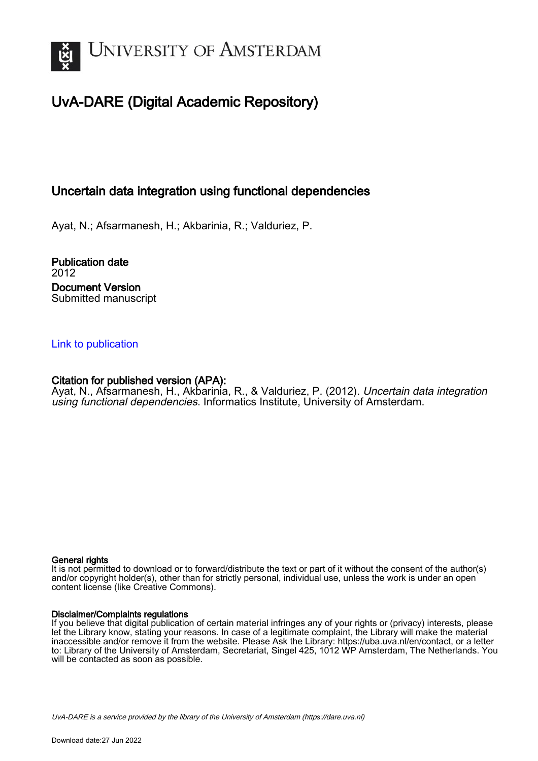

# UvA-DARE (Digital Academic Repository)

## Uncertain data integration using functional dependencies

Ayat, N.; Afsarmanesh, H.; Akbarinia, R.; Valduriez, P.

Publication date 2012 Document Version Submitted manuscript

### [Link to publication](https://dare.uva.nl/personal/pure/en/publications/uncertain-data-integration-using-functional-dependencies(40b72eaa-e909-49c2-9aab-be522d8a928d).html)

### Citation for published version (APA):

Ayat, N., Afsarmanesh, H., Akbarinia, R., & Valduriez, P. (2012). Uncertain data integration using functional dependencies. Informatics Institute, University of Amsterdam.

#### General rights

It is not permitted to download or to forward/distribute the text or part of it without the consent of the author(s) and/or copyright holder(s), other than for strictly personal, individual use, unless the work is under an open content license (like Creative Commons).

#### Disclaimer/Complaints regulations

If you believe that digital publication of certain material infringes any of your rights or (privacy) interests, please let the Library know, stating your reasons. In case of a legitimate complaint, the Library will make the material inaccessible and/or remove it from the website. Please Ask the Library: https://uba.uva.nl/en/contact, or a letter to: Library of the University of Amsterdam, Secretariat, Singel 425, 1012 WP Amsterdam, The Netherlands. You will be contacted as soon as possible.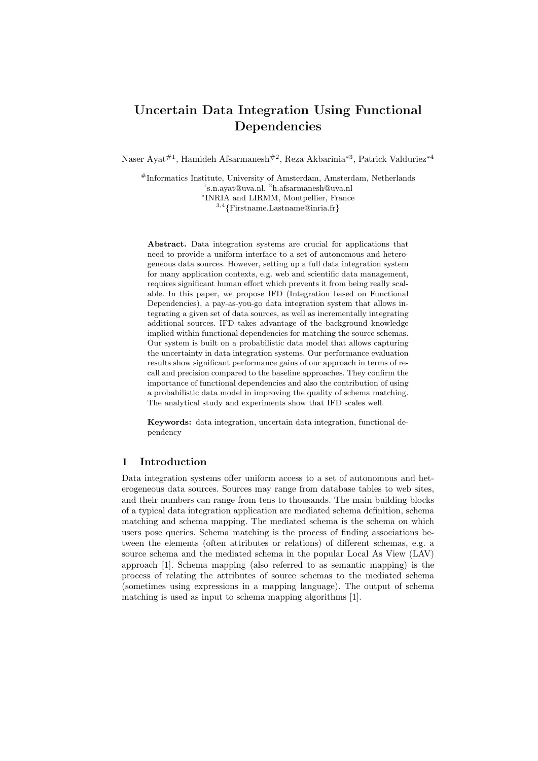## Uncertain Data Integration Using Functional Dependencies

Naser Ayat<sup>#1</sup>, Hamideh Afsarmanesh<sup>#2</sup>, Reza Akbarinia<sup>∗3</sup>, Patrick Valduriez<sup>∗4</sup>

#Informatics Institute, University of Amsterdam, Amsterdam, Netherlands 1 s.n.ayat@uva.nl, <sup>2</sup>h.afsarmanesh@uva.nl ∗ INRIA and LIRMM, Montpellier, France <sup>3,4</sup>{Firstname.Lastname@inria.fr}

Abstract. Data integration systems are crucial for applications that need to provide a uniform interface to a set of autonomous and heterogeneous data sources. However, setting up a full data integration system for many application contexts, e.g. web and scientific data management, requires significant human effort which prevents it from being really scalable. In this paper, we propose IFD (Integration based on Functional Dependencies), a pay-as-you-go data integration system that allows integrating a given set of data sources, as well as incrementally integrating additional sources. IFD takes advantage of the background knowledge implied within functional dependencies for matching the source schemas. Our system is built on a probabilistic data model that allows capturing the uncertainty in data integration systems. Our performance evaluation results show significant performance gains of our approach in terms of recall and precision compared to the baseline approaches. They confirm the importance of functional dependencies and also the contribution of using a probabilistic data model in improving the quality of schema matching. The analytical study and experiments show that IFD scales well.

Keywords: data integration, uncertain data integration, functional dependency

#### 1 Introduction

Data integration systems offer uniform access to a set of autonomous and heterogeneous data sources. Sources may range from database tables to web sites, and their numbers can range from tens to thousands. The main building blocks of a typical data integration application are mediated schema definition, schema matching and schema mapping. The mediated schema is the schema on which users pose queries. Schema matching is the process of finding associations between the elements (often attributes or relations) of different schemas, e.g. a source schema and the mediated schema in the popular Local As View (LAV) approach [1]. Schema mapping (also referred to as semantic mapping) is the process of relating the attributes of source schemas to the mediated schema (sometimes using expressions in a mapping language). The output of schema matching is used as input to schema mapping algorithms [1].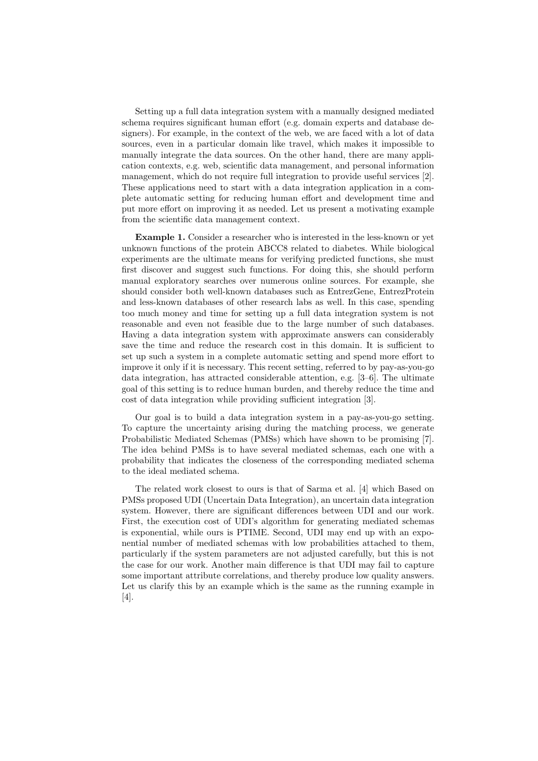Setting up a full data integration system with a manually designed mediated schema requires significant human effort (e.g. domain experts and database designers). For example, in the context of the web, we are faced with a lot of data sources, even in a particular domain like travel, which makes it impossible to manually integrate the data sources. On the other hand, there are many application contexts, e.g. web, scientific data management, and personal information management, which do not require full integration to provide useful services [2]. These applications need to start with a data integration application in a complete automatic setting for reducing human effort and development time and put more effort on improving it as needed. Let us present a motivating example from the scientific data management context.

Example 1. Consider a researcher who is interested in the less-known or yet unknown functions of the protein ABCC8 related to diabetes. While biological experiments are the ultimate means for verifying predicted functions, she must first discover and suggest such functions. For doing this, she should perform manual exploratory searches over numerous online sources. For example, she should consider both well-known databases such as EntrezGene, EntrezProtein and less-known databases of other research labs as well. In this case, spending too much money and time for setting up a full data integration system is not reasonable and even not feasible due to the large number of such databases. Having a data integration system with approximate answers can considerably save the time and reduce the research cost in this domain. It is sufficient to set up such a system in a complete automatic setting and spend more effort to improve it only if it is necessary. This recent setting, referred to by pay-as-you-go data integration, has attracted considerable attention, e.g. [3–6]. The ultimate goal of this setting is to reduce human burden, and thereby reduce the time and cost of data integration while providing sufficient integration [3].

Our goal is to build a data integration system in a pay-as-you-go setting. To capture the uncertainty arising during the matching process, we generate Probabilistic Mediated Schemas (PMSs) which have shown to be promising [7]. The idea behind PMSs is to have several mediated schemas, each one with a probability that indicates the closeness of the corresponding mediated schema to the ideal mediated schema.

The related work closest to ours is that of Sarma et al. [4] which Based on PMSs proposed UDI (Uncertain Data Integration), an uncertain data integration system. However, there are significant differences between UDI and our work. First, the execution cost of UDI's algorithm for generating mediated schemas is exponential, while ours is PTIME. Second, UDI may end up with an exponential number of mediated schemas with low probabilities attached to them, particularly if the system parameters are not adjusted carefully, but this is not the case for our work. Another main difference is that UDI may fail to capture some important attribute correlations, and thereby produce low quality answers. Let us clarify this by an example which is the same as the running example in [4].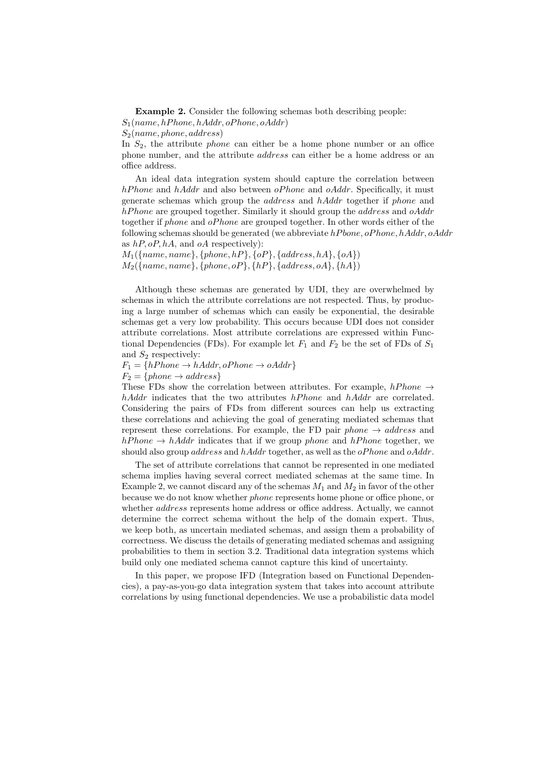Example 2. Consider the following schemas both describing people:  $S_1(name, hPhone, hAddr, oPhone, oAddr)$ 

 $S_2(name, phone, address)$ 

In  $S_2$ , the attribute *phone* can either be a home phone number or an office phone number, and the attribute address can either be a home address or an office address.

An ideal data integration system should capture the correlation between hPhone and hAddr and also between  $oPhone$  and  $oAddr$ . Specifically, it must generate schemas which group the address and hAddr together if phone and hPhone are grouped together. Similarly it should group the address and oAddr together if *phone* and  $oPhone$  are grouped together. In other words either of the following schemas should be generated (we abbreviate  $hPbone, oPhone, hAddr, oAddr$ as  $hP$ ,  $oP$ ,  $hA$ , and  $oA$  respectively):

 $M_1(\{name, name\}, \{phone, hP\}, \{oP\}, \{address, hA\}, \{oA\})$  $M_2(\{name, name\}, \{phone, oP\}, \{hP\}, \{address, oA\}, \{hA\})$ 

Although these schemas are generated by UDI, they are overwhelmed by schemas in which the attribute correlations are not respected. Thus, by producing a large number of schemas which can easily be exponential, the desirable schemas get a very low probability. This occurs because UDI does not consider attribute correlations. Most attribute correlations are expressed within Functional Dependencies (FDs). For example let  $F_1$  and  $F_2$  be the set of FDs of  $S_1$ and  $S_2$  respectively:

 $F_1 = \{hPhone \rightarrow hAddr, oPhone \rightarrow oAddr\}$ 

 $F_2 = \{phone \rightarrow address\}$ 

These FDs show the correlation between attributes. For example,  $hPhone \rightarrow$ hAddr indicates that the two attributes hPhone and hAddr are correlated. Considering the pairs of FDs from different sources can help us extracting these correlations and achieving the goal of generating mediated schemas that represent these correlations. For example, the FD pair phone  $\rightarrow$  address and hPhone  $\rightarrow$  hAddr indicates that if we group phone and hPhone together, we should also group *address* and  $hAddr$  together, as well as the *oPhone* and *oAddr*.

The set of attribute correlations that cannot be represented in one mediated schema implies having several correct mediated schemas at the same time. In Example 2, we cannot discard any of the schemas  $M_1$  and  $M_2$  in favor of the other because we do not know whether phone represents home phone or office phone, or whether *address* represents home address or office address. Actually, we cannot determine the correct schema without the help of the domain expert. Thus, we keep both, as uncertain mediated schemas, and assign them a probability of correctness. We discuss the details of generating mediated schemas and assigning probabilities to them in section 3.2. Traditional data integration systems which build only one mediated schema cannot capture this kind of uncertainty.

In this paper, we propose IFD (Integration based on Functional Dependencies), a pay-as-you-go data integration system that takes into account attribute correlations by using functional dependencies. We use a probabilistic data model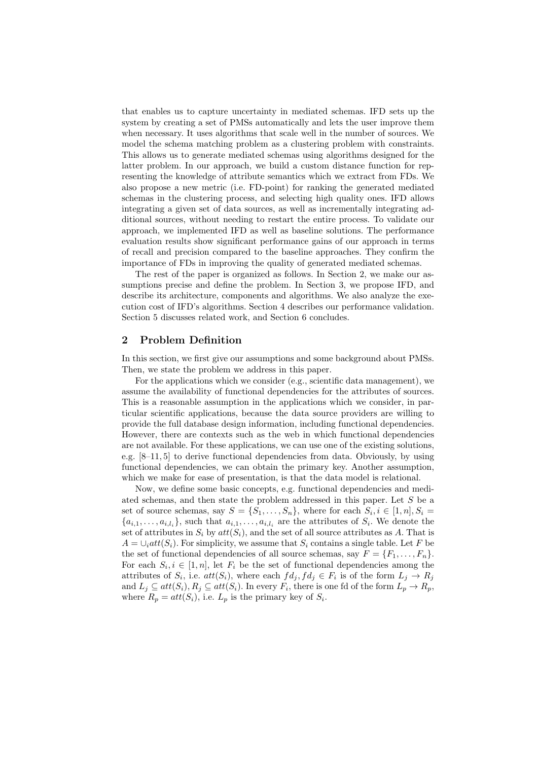that enables us to capture uncertainty in mediated schemas. IFD sets up the system by creating a set of PMSs automatically and lets the user improve them when necessary. It uses algorithms that scale well in the number of sources. We model the schema matching problem as a clustering problem with constraints. This allows us to generate mediated schemas using algorithms designed for the latter problem. In our approach, we build a custom distance function for representing the knowledge of attribute semantics which we extract from FDs. We also propose a new metric (i.e. FD-point) for ranking the generated mediated schemas in the clustering process, and selecting high quality ones. IFD allows integrating a given set of data sources, as well as incrementally integrating additional sources, without needing to restart the entire process. To validate our approach, we implemented IFD as well as baseline solutions. The performance evaluation results show significant performance gains of our approach in terms of recall and precision compared to the baseline approaches. They confirm the importance of FDs in improving the quality of generated mediated schemas.

The rest of the paper is organized as follows. In Section 2, we make our assumptions precise and define the problem. In Section 3, we propose IFD, and describe its architecture, components and algorithms. We also analyze the execution cost of IFD's algorithms. Section 4 describes our performance validation. Section 5 discusses related work, and Section 6 concludes.

#### 2 Problem Definition

In this section, we first give our assumptions and some background about PMSs. Then, we state the problem we address in this paper.

For the applications which we consider (e.g., scientific data management), we assume the availability of functional dependencies for the attributes of sources. This is a reasonable assumption in the applications which we consider, in particular scientific applications, because the data source providers are willing to provide the full database design information, including functional dependencies. However, there are contexts such as the web in which functional dependencies are not available. For these applications, we can use one of the existing solutions, e.g. [8–11, 5] to derive functional dependencies from data. Obviously, by using functional dependencies, we can obtain the primary key. Another assumption, which we make for ease of presentation, is that the data model is relational.

Now, we define some basic concepts, e.g. functional dependencies and mediated schemas, and then state the problem addressed in this paper. Let S be a set of source schemas, say  $S = \{S_1, \ldots, S_n\}$ , where for each  $S_i, i \in [1, n], S_i =$  $\{a_{i,1},\ldots,a_{i,l_i}\}\,$  such that  $a_{i,1},\ldots,a_{i,l_i}$  are the attributes of  $S_i$ . We denote the set of attributes in  $S_i$  by  $att(S_i)$ , and the set of all source attributes as A. That is  $A = \bigcup_i att(S_i)$ . For simplicity, we assume that  $S_i$  contains a single table. Let F be the set of functional dependencies of all source schemas, say  $F = \{F_1, \ldots, F_n\}$ . For each  $S_i, i \in [1, n]$ , let  $F_i$  be the set of functional dependencies among the attributes of  $S_i$ , i.e.  $att(S_i)$ , where each  $fd_j, fd_j \in F_i$  is of the form  $L_j \to R_j$ and  $L_j \subseteq att(S_i), R_j \subseteq att(S_i)$ . In every  $F_i$ , there is one fd of the form  $L_p \to R_p$ , where  $R_p = att(S_i)$ , i.e.  $L_p$  is the primary key of  $S_i$ .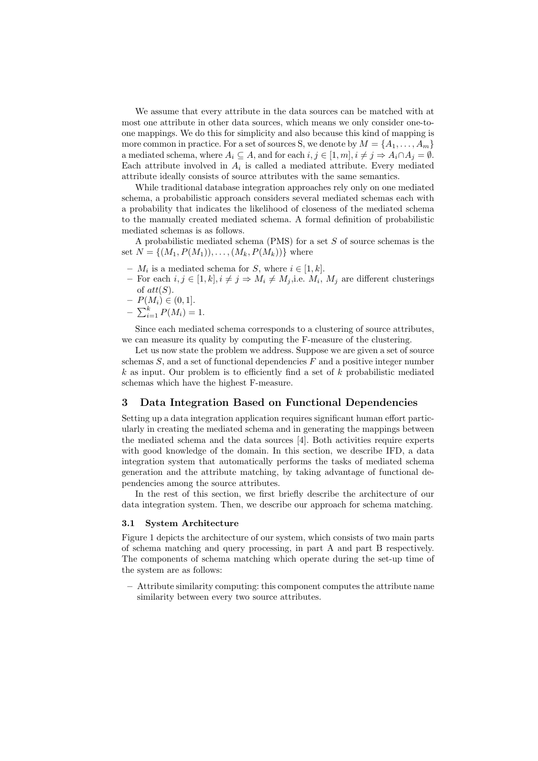We assume that every attribute in the data sources can be matched with at most one attribute in other data sources, which means we only consider one-toone mappings. We do this for simplicity and also because this kind of mapping is more common in practice. For a set of sources S, we denote by  $M = \{A_1, \ldots, A_m\}$ a mediated schema, where  $A_i \subseteq A$ , and for each  $i, j \in [1, m], i \neq j \Rightarrow A_i \cap A_j = \emptyset$ . Each attribute involved in  $A_i$  is called a mediated attribute. Every mediated attribute ideally consists of source attributes with the same semantics.

While traditional database integration approaches rely only on one mediated schema, a probabilistic approach considers several mediated schemas each with a probability that indicates the likelihood of closeness of the mediated schema to the manually created mediated schema. A formal definition of probabilistic mediated schemas is as follows.

A probabilistic mediated schema (PMS) for a set S of source schemas is the set  $N = \{(M_1, P(M_1)), \ldots, (M_k, P(M_k))\}$  where

- $M_i$  is a mediated schema for S, where  $i \in [1, k]$ .
- For each  $i, j \in [1, k], i \neq j$  ⇒  $M_i \neq M_j$ , i.e.  $M_i$ ,  $M_j$  are different clusterings of  $att(S)$ .
- $P(M_i) \in (0,1].$
- $\sum_{i=1}^{k} P(M_i) = 1.$

Since each mediated schema corresponds to a clustering of source attributes, we can measure its quality by computing the F-measure of the clustering.

Let us now state the problem we address. Suppose we are given a set of source schemas  $S$ , and a set of functional dependencies  $F$  and a positive integer number  $k$  as input. Our problem is to efficiently find a set of  $k$  probabilistic mediated schemas which have the highest F-measure.

#### 3 Data Integration Based on Functional Dependencies

Setting up a data integration application requires significant human effort particularly in creating the mediated schema and in generating the mappings between the mediated schema and the data sources [4]. Both activities require experts with good knowledge of the domain. In this section, we describe IFD, a data integration system that automatically performs the tasks of mediated schema generation and the attribute matching, by taking advantage of functional dependencies among the source attributes.

In the rest of this section, we first briefly describe the architecture of our data integration system. Then, we describe our approach for schema matching.

#### 3.1 System Architecture

Figure 1 depicts the architecture of our system, which consists of two main parts of schema matching and query processing, in part A and part B respectively. The components of schema matching which operate during the set-up time of the system are as follows:

– Attribute similarity computing: this component computes the attribute name similarity between every two source attributes.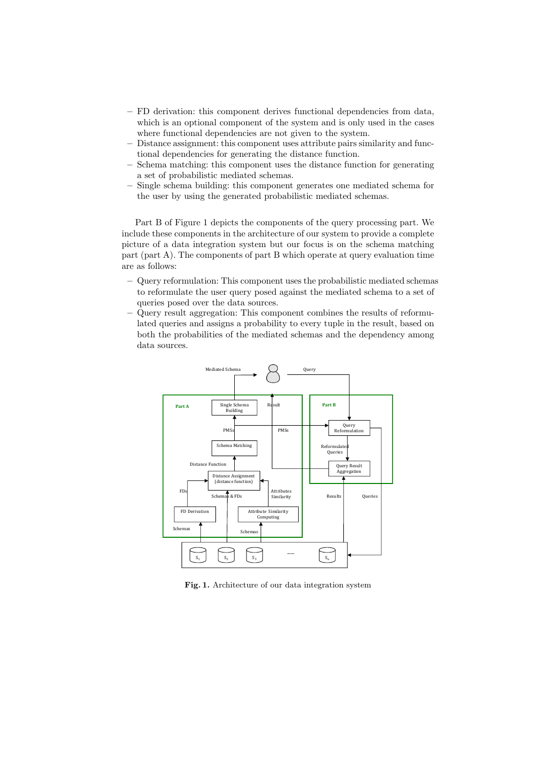- FD derivation: this component derives functional dependencies from data, which is an optional component of the system and is only used in the cases where functional dependencies are not given to the system.
- Distance assignment: this component uses attribute pairs similarity and functional dependencies for generating the distance function.
- Schema matching: this component uses the distance function for generating a set of probabilistic mediated schemas.
- Single schema building: this component generates one mediated schema for the user by using the generated probabilistic mediated schemas.

Part B of Figure 1 depicts the components of the query processing part. We include these components in the architecture of our system to provide a complete picture of a data integration system but our focus is on the schema matching part (part A). The components of part B which operate at query evaluation time are as follows:

- Query reformulation: This component uses the probabilistic mediated schemas to reformulate the user query posed against the mediated schema to a set of queries posed over the data sources.
- Query result aggregation: This component combines the results of reformulated queries and assigns a probability to every tuple in the result, based on both the probabilities of the mediated schemas and the dependency among data sources.



Fig. 1. Architecture of our data integration system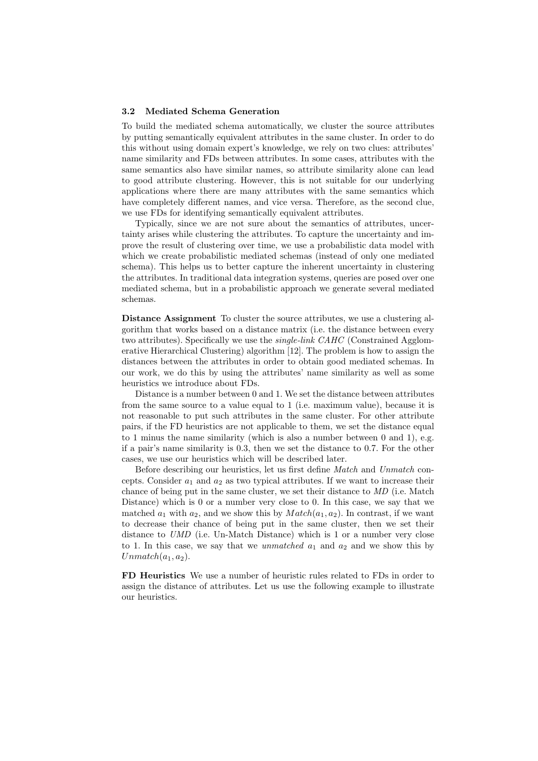#### 3.2 Mediated Schema Generation

To build the mediated schema automatically, we cluster the source attributes by putting semantically equivalent attributes in the same cluster. In order to do this without using domain expert's knowledge, we rely on two clues: attributes' name similarity and FDs between attributes. In some cases, attributes with the same semantics also have similar names, so attribute similarity alone can lead to good attribute clustering. However, this is not suitable for our underlying applications where there are many attributes with the same semantics which have completely different names, and vice versa. Therefore, as the second clue, we use FDs for identifying semantically equivalent attributes.

Typically, since we are not sure about the semantics of attributes, uncertainty arises while clustering the attributes. To capture the uncertainty and improve the result of clustering over time, we use a probabilistic data model with which we create probabilistic mediated schemas (instead of only one mediated schema). This helps us to better capture the inherent uncertainty in clustering the attributes. In traditional data integration systems, queries are posed over one mediated schema, but in a probabilistic approach we generate several mediated schemas.

Distance Assignment To cluster the source attributes, we use a clustering algorithm that works based on a distance matrix (i.e. the distance between every two attributes). Specifically we use the *single-link CAHC* (Constrained Agglomerative Hierarchical Clustering) algorithm [12]. The problem is how to assign the distances between the attributes in order to obtain good mediated schemas. In our work, we do this by using the attributes' name similarity as well as some heuristics we introduce about FDs.

Distance is a number between 0 and 1. We set the distance between attributes from the same source to a value equal to 1 (i.e. maximum value), because it is not reasonable to put such attributes in the same cluster. For other attribute pairs, if the FD heuristics are not applicable to them, we set the distance equal to 1 minus the name similarity (which is also a number between 0 and 1), e.g. if a pair's name similarity is 0.3, then we set the distance to 0.7. For the other cases, we use our heuristics which will be described later.

Before describing our heuristics, let us first define Match and Unmatch concepts. Consider  $a_1$  and  $a_2$  as two typical attributes. If we want to increase their chance of being put in the same cluster, we set their distance to  $MD$  (i.e. Match Distance) which is 0 or a number very close to 0. In this case, we say that we matched  $a_1$  with  $a_2$ , and we show this by  $Match(a_1, a_2)$ . In contrast, if we want to decrease their chance of being put in the same cluster, then we set their distance to UMD (i.e. Un-Match Distance) which is 1 or a number very close to 1. In this case, we say that we *unmatched*  $a_1$  and  $a_2$  and we show this by  $Unmatch(a_1, a_2).$ 

FD Heuristics We use a number of heuristic rules related to FDs in order to assign the distance of attributes. Let us use the following example to illustrate our heuristics.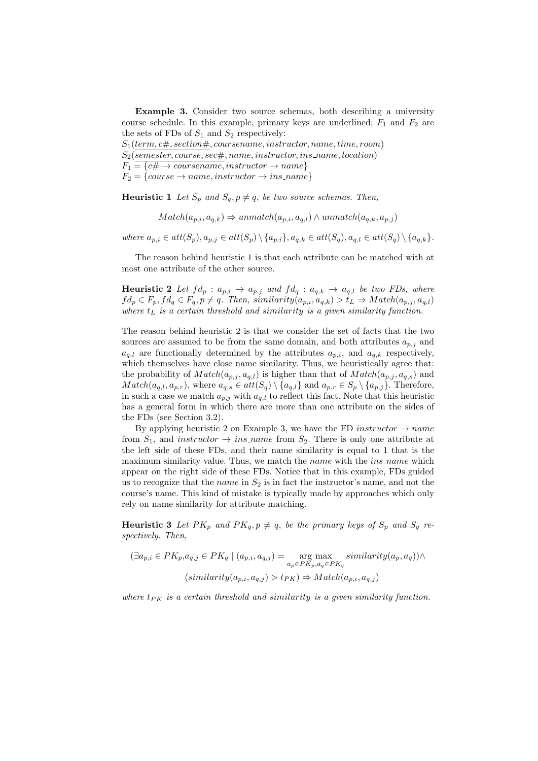Example 3. Consider two source schemas, both describing a university course schedule. In this example, primary keys are underlined;  $F_1$  and  $F_2$  are the sets of FDs of  $S_1$  and  $S_2$  respectively:

 $S_1(term, c#, section#, course name, instructor, name, time, room)$  $S_2(\overline{\text{semester}}, \overline{\text{course}}, \overline{\text{sec}\#}, \text{name}, \overline{\text{instructor}}, \overline{\text{in} \text{s_name}}, \text{location})$  $F_1 = \{c\# \rightarrow coursename, instructor \rightarrow name\}$  $F_2 = \{course \rightarrow name, instructor \rightarrow ins_name\}$ 

**Heuristic 1** Let  $S_p$  and  $S_q$ ,  $p \neq q$ , be two source schemas. Then,

 $Match(a_{p,i}, a_{q,k}) \Rightarrow unmatch(a_{p,i}, a_{q,l}) \wedge unmatch(a_{q,k}, a_{p,j})$ 

where  $a_{p,i} \in att(S_p), a_{p,j} \in att(S_p) \setminus \{a_{p,i}\}, a_{q,k} \in att(S_q), a_{q,i} \in att(S_q) \setminus \{a_{q,k}\}.$ 

The reason behind heuristic 1 is that each attribute can be matched with at most one attribute of the other source.

**Heuristic 2** Let  $fd_p: a_{p,i} \rightarrow a_{p,j}$  and  $fd_q: a_{q,k} \rightarrow a_{q,l}$  be two FDs, where  $fd_p \in F_p$ ,  $fd_q \in F_q$ ,  $p \neq q$ . Then, similarity $(a_{p,i}, a_{q,k}) > t_L \Rightarrow Match(a_{p,j}, a_{q,l})$ where  $t_L$  is a certain threshold and similarity is a given similarity function.

The reason behind heuristic 2 is that we consider the set of facts that the two sources are assumed to be from the same domain, and both attributes  $a_{p,i}$  and  $a_{q,l}$  are functionally determined by the attributes  $a_{p,i}$ , and  $a_{q,k}$  respectively, which themselves have close name similarity. Thus, we heuristically agree that: the probability of  $Match(a_{p,i}, a_{q,l})$  is higher than that of  $Match(a_{p,i}, a_{q,s})$  and  $Match(a_{q,l}, a_{p,r})$ , where  $a_{q,s} \in att(S_q) \setminus \{a_{q,l}\}\$  and  $a_{p,r} \in S_p \setminus \{a_{p,j}\}\$ . Therefore, in such a case we match  $a_{p,j}$  with  $a_{q,l}$  to reflect this fact. Note that this heuristic has a general form in which there are more than one attribute on the sides of the FDs (see Section 3.2).

By applying heuristic 2 on Example 3, we have the FD instructor  $\rightarrow$  name from  $S_1$ , and *instructor*  $\rightarrow$  *ins\_name* from  $S_2$ . There is only one attribute at the left side of these FDs, and their name similarity is equal to 1 that is the maximum similarity value. Thus, we match the *name* with the *ins\_name* which appear on the right side of these FDs. Notice that in this example, FDs guided us to recognize that the *name* in  $S_2$  is in fact the instructor's name, and not the course's name. This kind of mistake is typically made by approaches which only rely on name similarity for attribute matching.

**Heuristic 3** Let  $PK_p$  and  $PK_q$ ,  $p \neq q$ , be the primary keys of  $S_p$  and  $S_q$  respectively. Then,

$$
(\exists a_{p,i} \in PK_p, a_{q,j} \in PK_q \mid (a_{p,i}, a_{q,j}) = \underset{a_p \in PK_p, a_q \in PK_q}{\text{arg max}} similarity(a_p, a_q)) \land
$$

$$
(similarity(a_{p,i}, a_{q,j}) > t_{PK}) \Rightarrow Match(a_{p,i}, a_{q,j})
$$

where  $t_{PK}$  is a certain threshold and similarity is a given similarity function.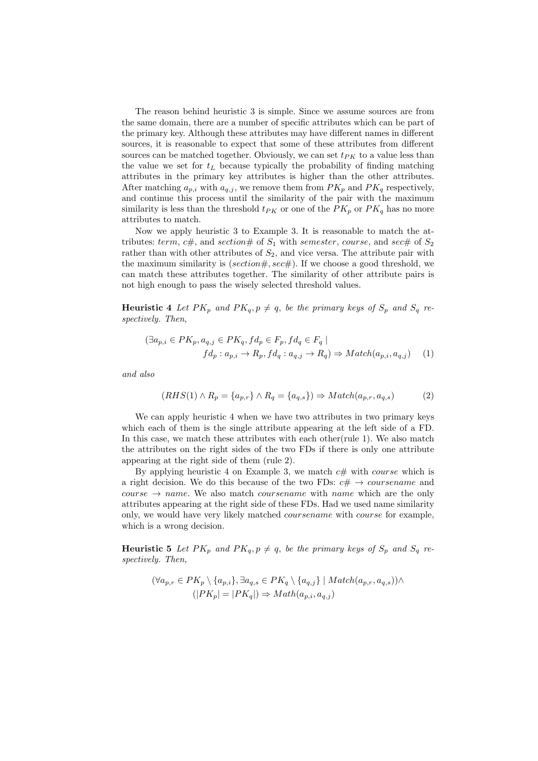The reason behind heuristic 3 is simple. Since we assume sources are from the same domain, there are a number of specific attributes which can be part of the primary key. Although these attributes may have different names in different sources, it is reasonable to expect that some of these attributes from different sources can be matched together. Obviously, we can set  $t_{PK}$  to a value less than the value we set for  $t_L$  because typically the probability of finding matching attributes in the primary key attributes is higher than the other attributes. After matching  $a_{p,i}$  with  $a_{q,j}$ , we remove them from  $PK_p$  and  $PK_q$  respectively, and continue this process until the similarity of the pair with the maximum similarity is less than the threshold  $t_{PK}$  or one of the  $PK_p$  or  $PK_q$  has no more attributes to match.

Now we apply heuristic 3 to Example 3. It is reasonable to match the attributes: term, c#, and section# of  $S_1$  with semester, course, and sec# of  $S_2$ rather than with other attributes of  $S_2$ , and vice versa. The attribute pair with the maximum similarity is (section  $\#$ , sec $\#$ ). If we choose a good threshold, we can match these attributes together. The similarity of other attribute pairs is not high enough to pass the wisely selected threshold values.

**Heuristic 4** Let  $PK_p$  and  $PK_q$ ,  $p \neq q$ , be the primary keys of  $S_p$  and  $S_q$  respectively. Then,

$$
(\exists a_{p,i} \in PK_p, a_{q,j} \in PK_q, f d_p \in F_p, f d_q \in F_q \mid f d_p : a_{p,i} \rightarrow R_p, f d_q : a_{q,j} \rightarrow R_q) \Rightarrow Match(a_{p,i}, a_{q,j}) \quad (1)
$$

and also

$$
(RHS(1) \land R_p = \{a_{p,r}\} \land R_q = \{a_{q,s}\}) \Rightarrow Match(a_{p,r}, a_{q,s})
$$
\n<sup>(2)</sup>

We can apply heuristic 4 when we have two attributes in two primary keys which each of them is the single attribute appearing at the left side of a FD. In this case, we match these attributes with each other(rule 1). We also match the attributes on the right sides of the two FDs if there is only one attribute appearing at the right side of them (rule 2).

By applying heuristic 4 on Example 3, we match  $c\#$  with *course* which is a right decision. We do this because of the two FDs:  $c \# \rightarrow coursename$  and  $course \rightarrow name$ . We also match *coursename* with *name* which are the only attributes appearing at the right side of these FDs. Had we used name similarity only, we would have very likely matched coursename with course for example, which is a wrong decision.

**Heuristic 5** Let  $PK_p$  and  $PK_q$ ,  $p \neq q$ , be the primary keys of  $S_p$  and  $S_q$  respectively. Then,

$$
(\forall a_{p,r} \in PK_p \setminus \{a_{p,i}\}, \exists a_{q,s} \in PK_q \setminus \{a_{q,j}\} \mid Match(a_{p,r}, a_{q,s})) \land (|PK_p| = |PK_q|) \Rightarrow Math(a_{p,i}, a_{q,j})
$$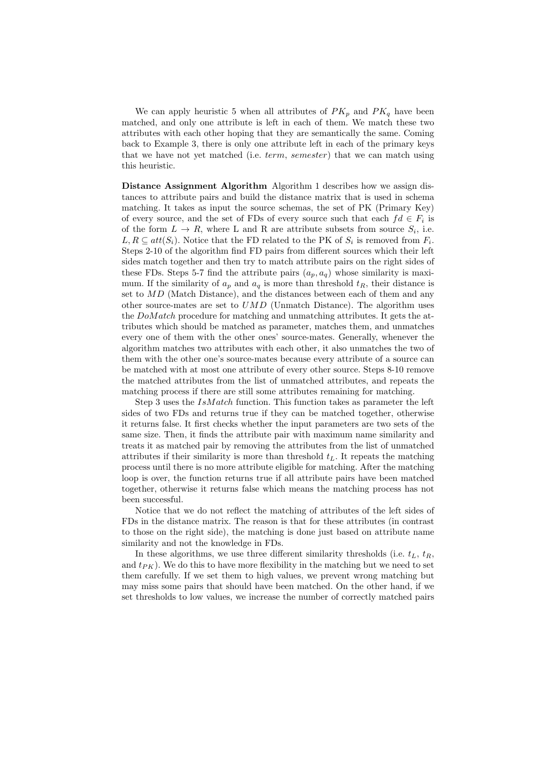We can apply heuristic 5 when all attributes of  $PK_p$  and  $PK_q$  have been matched, and only one attribute is left in each of them. We match these two attributes with each other hoping that they are semantically the same. Coming back to Example 3, there is only one attribute left in each of the primary keys that we have not yet matched (i.e. term, semester) that we can match using this heuristic.

Distance Assignment Algorithm Algorithm 1 describes how we assign distances to attribute pairs and build the distance matrix that is used in schema matching. It takes as input the source schemas, the set of PK (Primary Key) of every source, and the set of FDs of every source such that each  $fd \in F_i$  is of the form  $L \to R$ , where L and R are attribute subsets from source  $S_i$ , i.e.  $L, R \subseteq att(S_i)$ . Notice that the FD related to the PK of  $S_i$  is removed from  $F_i$ . Steps 2-10 of the algorithm find FD pairs from different sources which their left sides match together and then try to match attribute pairs on the right sides of these FDs. Steps 5-7 find the attribute pairs  $(a_p, a_q)$  whose similarity is maximum. If the similarity of  $a_p$  and  $a_q$  is more than threshold  $t_R$ , their distance is set to  $MD$  (Match Distance), and the distances between each of them and any other source-mates are set to  $UMD$  (Unmatch Distance). The algorithm uses the *DoMatch* procedure for matching and unmatching attributes. It gets the attributes which should be matched as parameter, matches them, and unmatches every one of them with the other ones' source-mates. Generally, whenever the algorithm matches two attributes with each other, it also unmatches the two of them with the other one's source-mates because every attribute of a source can be matched with at most one attribute of every other source. Steps 8-10 remove the matched attributes from the list of unmatched attributes, and repeats the matching process if there are still some attributes remaining for matching.

Step 3 uses the  $IsMatch$  function. This function takes as parameter the left sides of two FDs and returns true if they can be matched together, otherwise it returns false. It first checks whether the input parameters are two sets of the same size. Then, it finds the attribute pair with maximum name similarity and treats it as matched pair by removing the attributes from the list of unmatched attributes if their similarity is more than threshold  $t_L$ . It repeats the matching process until there is no more attribute eligible for matching. After the matching loop is over, the function returns true if all attribute pairs have been matched together, otherwise it returns false which means the matching process has not been successful.

Notice that we do not reflect the matching of attributes of the left sides of FDs in the distance matrix. The reason is that for these attributes (in contrast to those on the right side), the matching is done just based on attribute name similarity and not the knowledge in FDs.

In these algorithms, we use three different similarity thresholds (i.e.  $t_L$ ,  $t_R$ , and  $t_{PK}$ ). We do this to have more flexibility in the matching but we need to set them carefully. If we set them to high values, we prevent wrong matching but may miss some pairs that should have been matched. On the other hand, if we set thresholds to low values, we increase the number of correctly matched pairs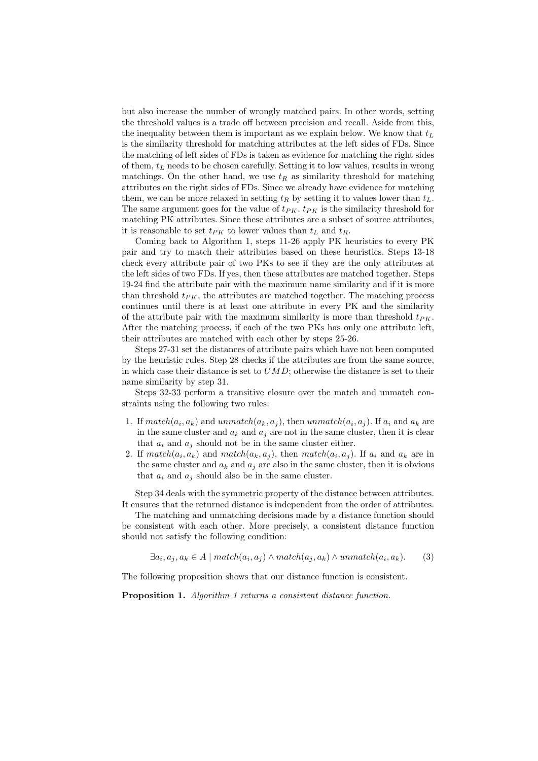but also increase the number of wrongly matched pairs. In other words, setting the threshold values is a trade off between precision and recall. Aside from this, the inequality between them is important as we explain below. We know that  $t_L$ is the similarity threshold for matching attributes at the left sides of FDs. Since the matching of left sides of FDs is taken as evidence for matching the right sides of them,  $t_L$  needs to be chosen carefully. Setting it to low values, results in wrong matchings. On the other hand, we use  $t_R$  as similarity threshold for matching attributes on the right sides of FDs. Since we already have evidence for matching them, we can be more relaxed in setting  $t_R$  by setting it to values lower than  $t_L$ . The same argument goes for the value of  $t_{PK}$ .  $t_{PK}$  is the similarity threshold for matching PK attributes. Since these attributes are a subset of source attributes, it is reasonable to set  $t_{PK}$  to lower values than  $t_L$  and  $t_R$ .

Coming back to Algorithm 1, steps 11-26 apply PK heuristics to every PK pair and try to match their attributes based on these heuristics. Steps 13-18 check every attribute pair of two PKs to see if they are the only attributes at the left sides of two FDs. If yes, then these attributes are matched together. Steps 19-24 find the attribute pair with the maximum name similarity and if it is more than threshold  $t_{PK}$ , the attributes are matched together. The matching process continues until there is at least one attribute in every PK and the similarity of the attribute pair with the maximum similarity is more than threshold  $t_{PK}$ . After the matching process, if each of the two PKs has only one attribute left, their attributes are matched with each other by steps 25-26.

Steps 27-31 set the distances of attribute pairs which have not been computed by the heuristic rules. Step 28 checks if the attributes are from the same source, in which case their distance is set to UMD; otherwise the distance is set to their name similarity by step 31.

Steps 32-33 perform a transitive closure over the match and unmatch constraints using the following two rules:

- 1. If  $match(a_i, a_k)$  and  $unmatch(a_k, a_j)$ , then  $unmatch(a_i, a_j)$ . If  $a_i$  and  $a_k$  are in the same cluster and  $a_k$  and  $a_j$  are not in the same cluster, then it is clear that  $a_i$  and  $a_j$  should not be in the same cluster either.
- 2. If  $match(a_i, a_k)$  and  $match(a_k, a_j)$ , then  $match(a_i, a_j)$ . If  $a_i$  and  $a_k$  are in the same cluster and  $a_k$  and  $a_j$  are also in the same cluster, then it is obvious that  $a_i$  and  $a_j$  should also be in the same cluster.

Step 34 deals with the symmetric property of the distance between attributes. It ensures that the returned distance is independent from the order of attributes.

The matching and unmatching decisions made by a distance function should be consistent with each other. More precisely, a consistent distance function should not satisfy the following condition:

$$
\exists a_i, a_j, a_k \in A \mid match(a_i, a_j) \land match(a_j, a_k) \land unmatch(a_i, a_k). \tag{3}
$$

The following proposition shows that our distance function is consistent.

Proposition 1. Algorithm 1 returns a consistent distance function.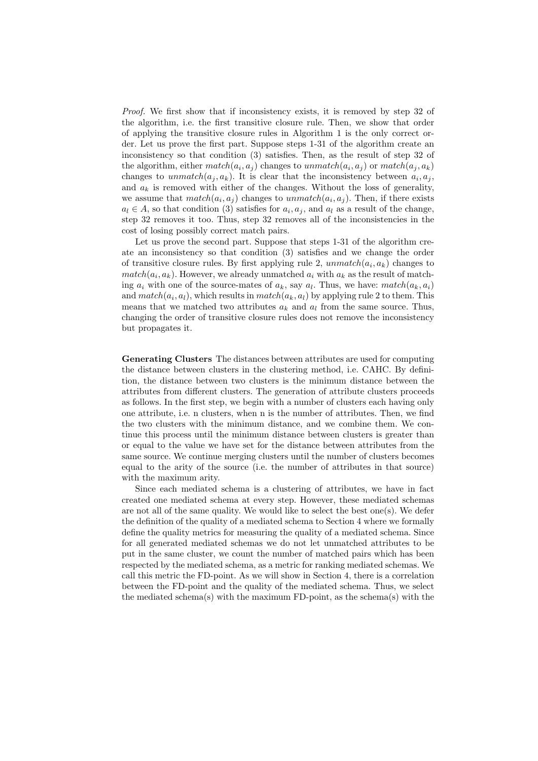Proof. We first show that if inconsistency exists, it is removed by step 32 of the algorithm, i.e. the first transitive closure rule. Then, we show that order of applying the transitive closure rules in Algorithm 1 is the only correct order. Let us prove the first part. Suppose steps 1-31 of the algorithm create an inconsistency so that condition (3) satisfies. Then, as the result of step 32 of the algorithm, either  $match(a_i, a_j)$  changes to  $unmatch(a_i, a_j)$  or  $match(a_j, a_k)$ changes to unmatch $(a_j, a_k)$ . It is clear that the inconsistency between  $a_i, a_j$ , and  $a_k$  is removed with either of the changes. Without the loss of generality, we assume that  $match(a_i, a_j)$  changes to  $unmatch(a_i, a_j)$ . Then, if there exists  $a_l \in A$ , so that condition (3) satisfies for  $a_i, a_j$ , and  $a_l$  as a result of the change, step 32 removes it too. Thus, step 32 removes all of the inconsistencies in the cost of losing possibly correct match pairs.

Let us prove the second part. Suppose that steps 1-31 of the algorithm create an inconsistency so that condition (3) satisfies and we change the order of transitive closure rules. By first applying rule 2,  $unmatch(a_i, a_k)$  changes to  $match(a_i, a_k)$ . However, we already unmatched  $a_i$  with  $a_k$  as the result of matching  $a_i$  with one of the source-mates of  $a_k$ , say  $a_l$ . Thus, we have:  $match(a_k, a_i)$ and  $match(a_i, a_l)$ , which results in  $match(a_k, a_l)$  by applying rule 2 to them. This means that we matched two attributes  $a_k$  and  $a_l$  from the same source. Thus, changing the order of transitive closure rules does not remove the inconsistency but propagates it.

Generating Clusters The distances between attributes are used for computing the distance between clusters in the clustering method, i.e. CAHC. By definition, the distance between two clusters is the minimum distance between the attributes from different clusters. The generation of attribute clusters proceeds as follows. In the first step, we begin with a number of clusters each having only one attribute, i.e. n clusters, when n is the number of attributes. Then, we find the two clusters with the minimum distance, and we combine them. We continue this process until the minimum distance between clusters is greater than or equal to the value we have set for the distance between attributes from the same source. We continue merging clusters until the number of clusters becomes equal to the arity of the source (i.e. the number of attributes in that source) with the maximum arity.

Since each mediated schema is a clustering of attributes, we have in fact created one mediated schema at every step. However, these mediated schemas are not all of the same quality. We would like to select the best one $(s)$ . We defer the definition of the quality of a mediated schema to Section 4 where we formally define the quality metrics for measuring the quality of a mediated schema. Since for all generated mediated schemas we do not let unmatched attributes to be put in the same cluster, we count the number of matched pairs which has been respected by the mediated schema, as a metric for ranking mediated schemas. We call this metric the FD-point. As we will show in Section 4, there is a correlation between the FD-point and the quality of the mediated schema. Thus, we select the mediated schema(s) with the maximum FD-point, as the schema(s) with the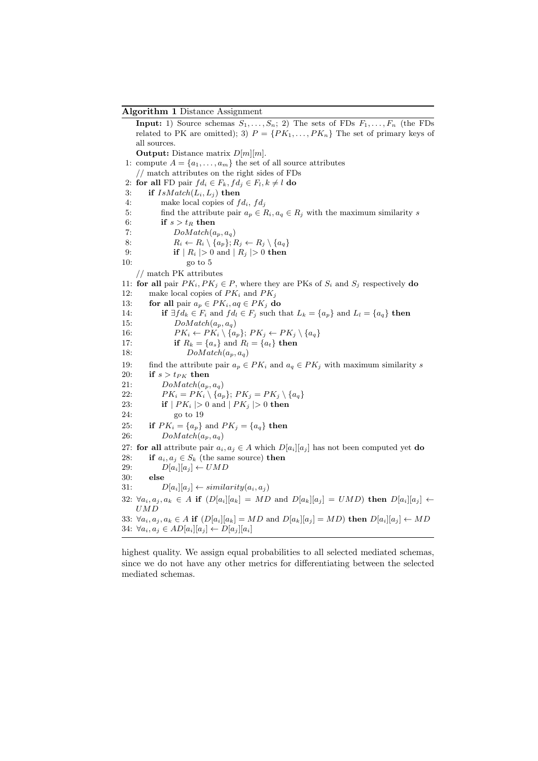Algorithm 1 Distance Assignment

**Input:** 1) Source schemas  $S_1, \ldots, S_n$ ; 2) The sets of FDs  $F_1, \ldots, F_n$  (the FDs related to PK are omitted); 3)  $P = \{PK_1, \ldots, PK_n\}$  The set of primary keys of all sources. **Output:** Distance matrix  $D[m][m]$ . 1: compute  $A = \{a_1, \ldots, a_m\}$  the set of all source attributes // match attributes on the right sides of FDs 2: for all FD pair  $fd_i \in F_k$ ,  $fd_j \in F_l$ ,  $k \neq l$  do 3: if  $IsMatch(L_i, L_j)$  then 4: make local copies of  $fd_i$ ,  $fd_i$ 5: find the attribute pair  $a_p \in R_i$ ,  $a_q \in R_j$  with the maximum similarity s 6: if  $s > t_R$  then 7:  $DoMatch(a_p, a_q)$ 8:  $R_i \leftarrow R_i \setminus \{a_p\}; R_j \leftarrow R_j \setminus \{a_q\}$ 9: **if**  $|R_i| > 0$  and  $|R_j| > 0$  **then** 10: go to 5 // match PK attributes 11: for all pair  $PK_i, PK_j \in P$ , where they are PKs of  $S_i$  and  $S_j$  respectively do 12: make local copies of  $PK_i$  and  $PK_j$ 13: for all pair  $a_p \in PK_i$ ,  $aq \in PK_j$  do 14: **if**  $\exists f d_k \in F_i$  and  $f d_l \in F_j$  such that  $L_k = \{a_p\}$  and  $L_l = \{a_q\}$  then 15:  $DoMatch(a_p, a_q)$ 16:  $PK_i \leftarrow PK_i \setminus \{a_p\}; PK_j \leftarrow PK_j \setminus \{a_q\}$ 17: if  $R_k = \{a_s\}$  and  $R_l = \{a_t\}$  then 18:  $DoMatch(a_p, a_q)$ 19: find the attribute pair  $a_p \in PK_i$  and  $a_q \in PK_j$  with maximum similarity s 20: if  $s > t_{PK}$  then 21:  $DoMatch(a_p, a_q)$ 22:  $PK_i = PK_i \setminus \{a_p\}; PK_j = PK_j \setminus \{a_q\}$ 23: **if**  $|PK_i| > 0$  and  $|PK_j| > 0$  then 24: go to 19 25: if  $PK_i = \{a_p\}$  and  $PK_j = \{a_q\}$  then 26:  $DoMatch(a_p, a_q)$ 27: for all attribute pair  $a_i, a_j \in A$  which  $D[a_i][a_j]$  has not been computed yet do 28: if  $a_i, a_j \in S_k$  (the same source) then 29:  $D[a_i][a_j] \leftarrow UMD$ 30: else 31:  $D[a_i][a_j] \leftarrow similarity(a_i, a_j)$ 32:  $\forall a_i, a_j, a_k \in A$  if  $(D[a_i][a_k]) = MD$  and  $D[a_k][a_i] = UMD$  then  $D[a_i][a_i] \leftarrow$ UMD 33:  $\forall a_i, a_j, a_k \in A$  if  $(D[a_i][a_k] = MD$  and  $D[a_k][a_j] = MD)$  then  $D[a_i][a_j] \leftarrow MD$ 34:  $\forall a_i, a_j \in AD[a_i][a_j] \leftarrow D[a_j][a_i]$ 

highest quality. We assign equal probabilities to all selected mediated schemas, since we do not have any other metrics for differentiating between the selected mediated schemas.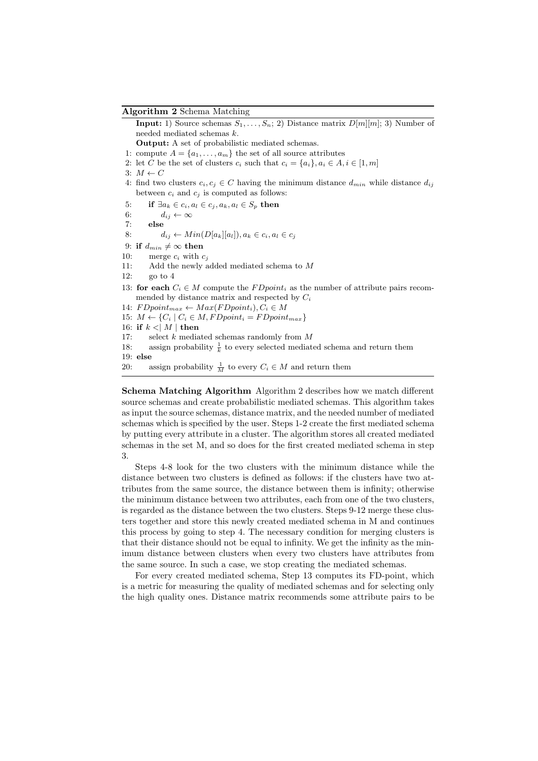Algorithm 2 Schema Matching

**Input:** 1) Source schemas  $S_1, \ldots, S_n$ ; 2) Distance matrix  $D[m][m]$ ; 3) Number of needed mediated schemas k. Output: A set of probabilistic mediated schemas. 1: compute  $A = \{a_1, \ldots, a_m\}$  the set of all source attributes 2: let C be the set of clusters  $c_i$  such that  $c_i = \{a_i\}, a_i \in A, i \in [1, m]$ 3:  $M \leftarrow C$ 4: find two clusters  $c_i, c_j \in C$  having the minimum distance  $d_{min}$  while distance  $d_{ij}$ between  $c_i$  and  $c_j$  is computed as follows: 5: if  $\exists a_k \in c_i, a_l \in c_j, a_k, a_l \in S_p$  then 6:  $d_{ij} \leftarrow \infty$ 7: else 8:  $d_{ij} \leftarrow Min(D[a_k][a_l]), a_k \in c_i, a_l \in c_j$ 9: if  $d_{min} \neq \infty$  then 10: merge  $c_i$  with  $c_j$ 11: Add the newly added mediated schema to M 12: go to 4 13: for each  $C_i \in M$  compute the  $F$ Dpoint<sub>i</sub> as the number of attribute pairs recommended by distance matrix and respected by  $C_i$ 14:  $FDpoint_{max} \leftarrow Max(FDpoint_i), C_i \in M$ 15:  $M \leftarrow \{C_i \mid C_i \in M, FDpoint_i = FDpoint_{max}\}\$ 16: if  $k < |M|$  then 17: select k mediated schemas randomly from M 18: assign probability  $\frac{1}{k}$  to every selected mediated schema and return them 19: else 20: assign probability  $\frac{1}{M}$  to every  $C_i \in M$  and return them

Schema Matching Algorithm Algorithm 2 describes how we match different source schemas and create probabilistic mediated schemas. This algorithm takes as input the source schemas, distance matrix, and the needed number of mediated schemas which is specified by the user. Steps 1-2 create the first mediated schema by putting every attribute in a cluster. The algorithm stores all created mediated schemas in the set M, and so does for the first created mediated schema in step 3.

Steps 4-8 look for the two clusters with the minimum distance while the distance between two clusters is defined as follows: if the clusters have two attributes from the same source, the distance between them is infinity; otherwise the minimum distance between two attributes, each from one of the two clusters, is regarded as the distance between the two clusters. Steps 9-12 merge these clusters together and store this newly created mediated schema in M and continues this process by going to step 4. The necessary condition for merging clusters is that their distance should not be equal to infinity. We get the infinity as the minimum distance between clusters when every two clusters have attributes from the same source. In such a case, we stop creating the mediated schemas.

For every created mediated schema, Step 13 computes its FD-point, which is a metric for measuring the quality of mediated schemas and for selecting only the high quality ones. Distance matrix recommends some attribute pairs to be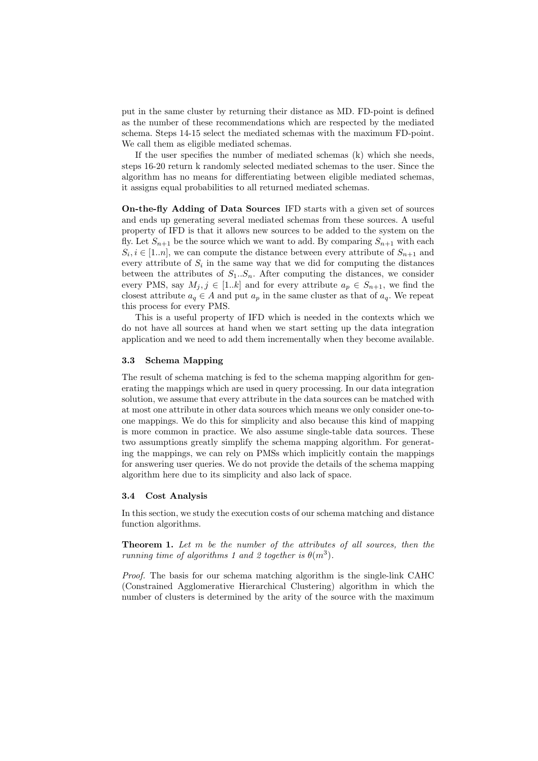put in the same cluster by returning their distance as MD. FD-point is defined as the number of these recommendations which are respected by the mediated schema. Steps 14-15 select the mediated schemas with the maximum FD-point. We call them as eligible mediated schemas.

If the user specifies the number of mediated schemas (k) which she needs, steps 16-20 return k randomly selected mediated schemas to the user. Since the algorithm has no means for differentiating between eligible mediated schemas, it assigns equal probabilities to all returned mediated schemas.

On-the-fly Adding of Data Sources IFD starts with a given set of sources and ends up generating several mediated schemas from these sources. A useful property of IFD is that it allows new sources to be added to the system on the fly. Let  $S_{n+1}$  be the source which we want to add. By comparing  $S_{n+1}$  with each  $S_i, i \in [1..n]$ , we can compute the distance between every attribute of  $S_{n+1}$  and every attribute of  $S_i$  in the same way that we did for computing the distances between the attributes of  $S_1...S_n$ . After computing the distances, we consider every PMS, say  $M_j, j \in [1..k]$  and for every attribute  $a_p \in S_{n+1}$ , we find the closest attribute  $a_q \in A$  and put  $a_p$  in the same cluster as that of  $a_q$ . We repeat this process for every PMS.

This is a useful property of IFD which is needed in the contexts which we do not have all sources at hand when we start setting up the data integration application and we need to add them incrementally when they become available.

#### 3.3 Schema Mapping

The result of schema matching is fed to the schema mapping algorithm for generating the mappings which are used in query processing. In our data integration solution, we assume that every attribute in the data sources can be matched with at most one attribute in other data sources which means we only consider one-toone mappings. We do this for simplicity and also because this kind of mapping is more common in practice. We also assume single-table data sources. These two assumptions greatly simplify the schema mapping algorithm. For generating the mappings, we can rely on PMSs which implicitly contain the mappings for answering user queries. We do not provide the details of the schema mapping algorithm here due to its simplicity and also lack of space.

#### 3.4 Cost Analysis

In this section, we study the execution costs of our schema matching and distance function algorithms.

**Theorem 1.** Let  $m$  be the number of the attributes of all sources, then the running time of algorithms 1 and 2 together is  $\theta(m^3)$ .

Proof. The basis for our schema matching algorithm is the single-link CAHC (Constrained Agglomerative Hierarchical Clustering) algorithm in which the number of clusters is determined by the arity of the source with the maximum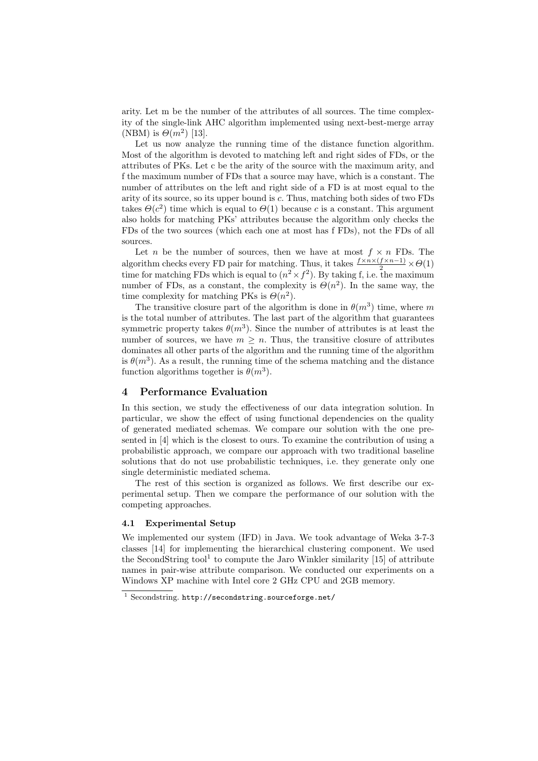arity. Let m be the number of the attributes of all sources. The time complexity of the single-link AHC algorithm implemented using next-best-merge array (NBM) is  $\Theta(m^2)$  [13].

Let us now analyze the running time of the distance function algorithm. Most of the algorithm is devoted to matching left and right sides of FDs, or the attributes of PKs. Let c be the arity of the source with the maximum arity, and f the maximum number of FDs that a source may have, which is a constant. The number of attributes on the left and right side of a FD is at most equal to the arity of its source, so its upper bound is c. Thus, matching both sides of two FDs takes  $\Theta(c^2)$  time which is equal to  $\Theta(1)$  because c is a constant. This argument also holds for matching PKs' attributes because the algorithm only checks the FDs of the two sources (which each one at most has f FDs), not the FDs of all sources.

Let *n* be the number of sources, then we have at most  $f \times n$  FDs. The algorithm checks every FD pair for matching. Thus, it takes  $\frac{f \times n \times (f \times n-1)}{2} \times \Theta(1)$ time for matching FDs which is equal to  $(n^2 \times f^2)$ . By taking f, i.e. the maximum number of FDs, as a constant, the complexity is  $\Theta(n^2)$ . In the same way, the time complexity for matching PKs is  $\Theta(n^2)$ .

The transitive closure part of the algorithm is done in  $\theta(m^3)$  time, where m is the total number of attributes. The last part of the algorithm that guarantees symmetric property takes  $\theta(m^3)$ . Since the number of attributes is at least the number of sources, we have  $m > n$ . Thus, the transitive closure of attributes dominates all other parts of the algorithm and the running time of the algorithm is  $\theta(m^3)$ . As a result, the running time of the schema matching and the distance function algorithms together is  $\theta(m^3)$ .

#### 4 Performance Evaluation

In this section, we study the effectiveness of our data integration solution. In particular, we show the effect of using functional dependencies on the quality of generated mediated schemas. We compare our solution with the one presented in [4] which is the closest to ours. To examine the contribution of using a probabilistic approach, we compare our approach with two traditional baseline solutions that do not use probabilistic techniques, i.e. they generate only one single deterministic mediated schema.

The rest of this section is organized as follows. We first describe our experimental setup. Then we compare the performance of our solution with the competing approaches.

#### 4.1 Experimental Setup

We implemented our system (IFD) in Java. We took advantage of Weka 3-7-3 classes [14] for implementing the hierarchical clustering component. We used the SecondString tool<sup>1</sup> to compute the Jaro Winkler similarity [15] of attribute names in pair-wise attribute comparison. We conducted our experiments on a Windows XP machine with Intel core 2 GHz CPU and 2GB memory.

<sup>&</sup>lt;sup>1</sup> Secondstring. http://secondstring.sourceforge.net/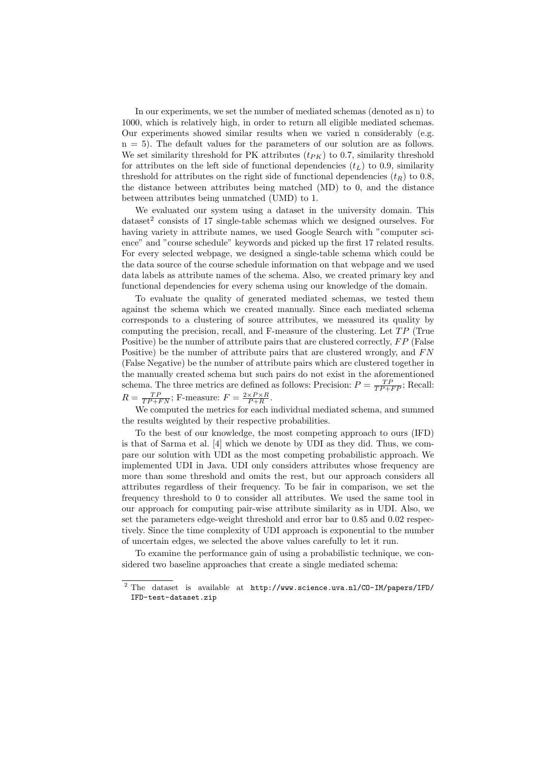In our experiments, we set the number of mediated schemas (denoted as n) to 1000, which is relatively high, in order to return all eligible mediated schemas. Our experiments showed similar results when we varied n considerably (e.g.  $n = 5$ ). The default values for the parameters of our solution are as follows. We set similarity threshold for PK attributes  $(t_{PK})$  to 0.7, similarity threshold for attributes on the left side of functional dependencies  $(t_L)$  to 0.9, similarity threshold for attributes on the right side of functional dependencies  $(t_R)$  to 0.8, the distance between attributes being matched (MD) to 0, and the distance between attributes being unmatched (UMD) to 1.

We evaluated our system using a dataset in the university domain. This  $dataset<sup>2</sup>$  consists of 17 single-table schemas which we designed ourselves. For having variety in attribute names, we used Google Search with "computer science" and "course schedule" keywords and picked up the first 17 related results. For every selected webpage, we designed a single-table schema which could be the data source of the course schedule information on that webpage and we used data labels as attribute names of the schema. Also, we created primary key and functional dependencies for every schema using our knowledge of the domain.

To evaluate the quality of generated mediated schemas, we tested them against the schema which we created manually. Since each mediated schema corresponds to a clustering of source attributes, we measured its quality by computing the precision, recall, and  $F$ -measure of the clustering. Let  $TP$  (True Positive) be the number of attribute pairs that are clustered correctly,  $FP$  (False Positive) be the number of attribute pairs that are clustered wrongly, and  $FN$ (False Negative) be the number of attribute pairs which are clustered together in the manually created schema but such pairs do not exist in the aforementioned schema. The three metrics are defined as follows: Precision:  $P = \frac{TP}{TP + FP}$ ; Recall:  $R = \frac{TP}{TP + FN}$ ; F-measure:  $F = \frac{2 \times P \times R}{P + R}$ .

We computed the metrics for each individual mediated schema, and summed the results weighted by their respective probabilities.

To the best of our knowledge, the most competing approach to ours (IFD) is that of Sarma et al. [4] which we denote by UDI as they did. Thus, we compare our solution with UDI as the most competing probabilistic approach. We implemented UDI in Java. UDI only considers attributes whose frequency are more than some threshold and omits the rest, but our approach considers all attributes regardless of their frequency. To be fair in comparison, we set the frequency threshold to 0 to consider all attributes. We used the same tool in our approach for computing pair-wise attribute similarity as in UDI. Also, we set the parameters edge-weight threshold and error bar to 0.85 and 0.02 respectively. Since the time complexity of UDI approach is exponential to the number of uncertain edges, we selected the above values carefully to let it run.

To examine the performance gain of using a probabilistic technique, we considered two baseline approaches that create a single mediated schema:

<sup>2</sup> The dataset is available at http://www.science.uva.nl/CO-IM/papers/IFD/ IFD-test-dataset.zip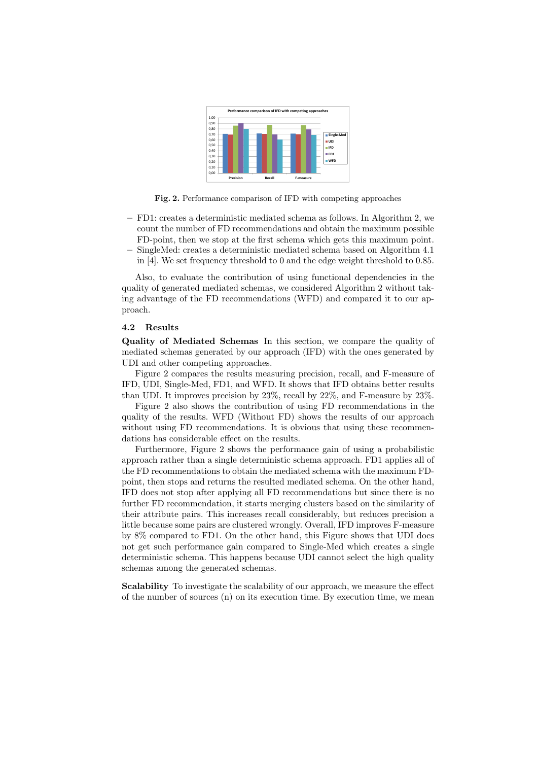

Fig. 2. Performance comparison of IFD with competing approaches

- FD1: creates a deterministic mediated schema as follows. In Algorithm 2, we count the number of FD recommendations and obtain the maximum possible FD-point, then we stop at the first schema which gets this maximum point.
- SingleMed: creates a deterministic mediated schema based on Algorithm 4.1 in [4]. We set frequency threshold to 0 and the edge weight threshold to 0.85.

Also, to evaluate the contribution of using functional dependencies in the quality of generated mediated schemas, we considered Algorithm 2 without taking advantage of the FD recommendations (WFD) and compared it to our approach.

#### 4.2 Results

Quality of Mediated Schemas In this section, we compare the quality of mediated schemas generated by our approach (IFD) with the ones generated by UDI and other competing approaches.

Figure 2 compares the results measuring precision, recall, and F-measure of IFD, UDI, Single-Med, FD1, and WFD. It shows that IFD obtains better results than UDI. It improves precision by 23%, recall by 22%, and F-measure by 23%.

Figure 2 also shows the contribution of using FD recommendations in the quality of the results. WFD (Without FD) shows the results of our approach without using FD recommendations. It is obvious that using these recommendations has considerable effect on the results.

Furthermore, Figure 2 shows the performance gain of using a probabilistic approach rather than a single deterministic schema approach. FD1 applies all of the FD recommendations to obtain the mediated schema with the maximum FDpoint, then stops and returns the resulted mediated schema. On the other hand, IFD does not stop after applying all FD recommendations but since there is no further FD recommendation, it starts merging clusters based on the similarity of their attribute pairs. This increases recall considerably, but reduces precision a little because some pairs are clustered wrongly. Overall, IFD improves F-measure by 8% compared to FD1. On the other hand, this Figure shows that UDI does not get such performance gain compared to Single-Med which creates a single deterministic schema. This happens because UDI cannot select the high quality schemas among the generated schemas.

Scalability To investigate the scalability of our approach, we measure the effect of the number of sources (n) on its execution time. By execution time, we mean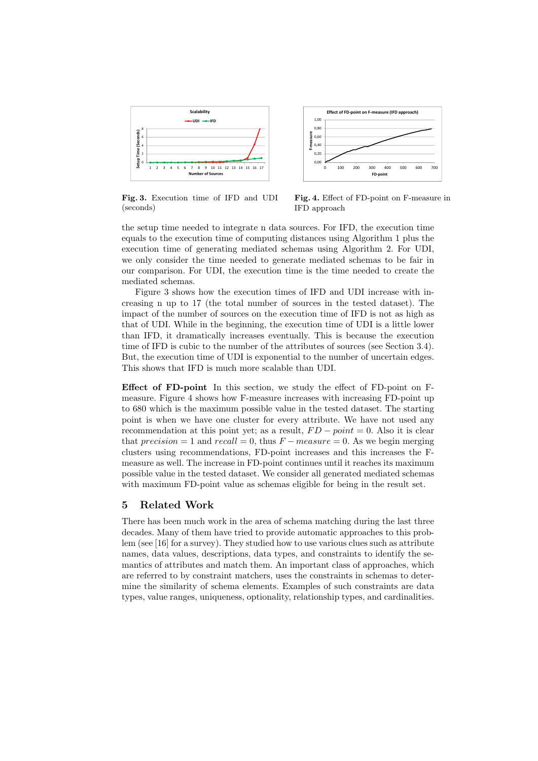



Fig. 3. Execution time of IFD and UDI (seconds)

Fig. 4. Effect of FD-point on F-measure in IFD approach

the setup time needed to integrate n data sources. For IFD, the execution time equals to the execution time of computing distances using Algorithm 1 plus the execution time of generating mediated schemas using Algorithm 2. For UDI, we only consider the time needed to generate mediated schemas to be fair in our comparison. For UDI, the execution time is the time needed to create the mediated schemas.

Figure 3 shows how the execution times of IFD and UDI increase with increasing n up to 17 (the total number of sources in the tested dataset). The impact of the number of sources on the execution time of IFD is not as high as that of UDI. While in the beginning, the execution time of UDI is a little lower than IFD, it dramatically increases eventually. This is because the execution time of IFD is cubic to the number of the attributes of sources (see Section 3.4). But, the execution time of UDI is exponential to the number of uncertain edges. This shows that IFD is much more scalable than UDI.

Effect of FD-point In this section, we study the effect of FD-point on Fmeasure. Figure 4 shows how F-measure increases with increasing FD-point up to 680 which is the maximum possible value in the tested dataset. The starting point is when we have one cluster for every attribute. We have not used any recommendation at this point yet; as a result,  $FD - point = 0$ . Also it is clear that  $precision = 1$  and  $recall = 0$ , thus  $F - measure = 0$ . As we begin merging clusters using recommendations, FD-point increases and this increases the Fmeasure as well. The increase in FD-point continues until it reaches its maximum possible value in the tested dataset. We consider all generated mediated schemas with maximum FD-point value as schemas eligible for being in the result set.

#### 5 Related Work

There has been much work in the area of schema matching during the last three decades. Many of them have tried to provide automatic approaches to this problem (see [16] for a survey). They studied how to use various clues such as attribute names, data values, descriptions, data types, and constraints to identify the semantics of attributes and match them. An important class of approaches, which are referred to by constraint matchers, uses the constraints in schemas to determine the similarity of schema elements. Examples of such constraints are data types, value ranges, uniqueness, optionality, relationship types, and cardinalities.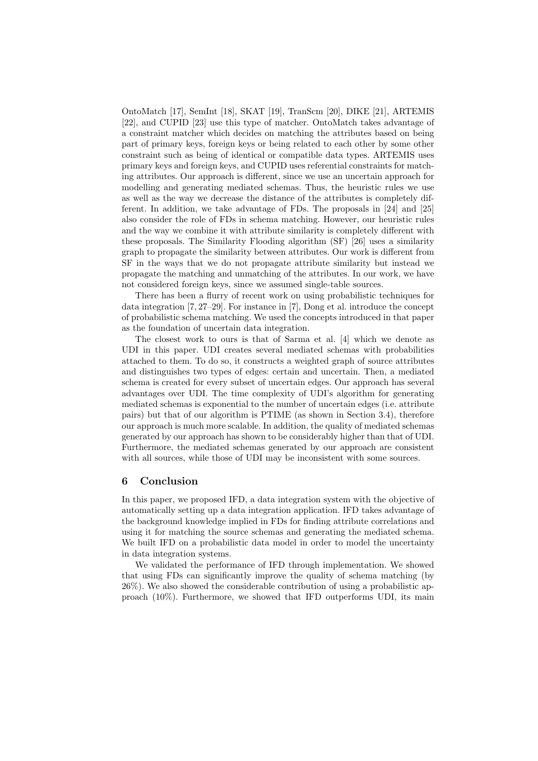OntoMatch [17], SemInt [18], SKAT [19], TranScm [20], DIKE [21], ARTEMIS [22], and CUPID [23] use this type of matcher. OntoMatch takes advantage of a constraint matcher which decides on matching the attributes based on being part of primary keys, foreign keys or being related to each other by some other constraint such as being of identical or compatible data types. ARTEMIS uses primary keys and foreign keys, and CUPID uses referential constraints for matching attributes. Our approach is different, since we use an uncertain approach for modelling and generating mediated schemas. Thus, the heuristic rules we use as well as the way we decrease the distance of the attributes is completely different. In addition, we take advantage of FDs. The proposals in [24] and [25] also consider the role of FDs in schema matching. However, our heuristic rules and the way we combine it with attribute similarity is completely different with these proposals. The Similarity Flooding algorithm (SF) [26] uses a similarity graph to propagate the similarity between attributes. Our work is different from SF in the ways that we do not propagate attribute similarity but instead we propagate the matching and unmatching of the attributes. In our work, we have not considered foreign keys, since we assumed single-table sources.

There has been a flurry of recent work on using probabilistic techniques for data integration [7, 27–29]. For instance in [7], Dong et al. introduce the concept of probabilistic schema matching. We used the concepts introduced in that paper as the foundation of uncertain data integration.

The closest work to ours is that of Sarma et al. [4] which we denote as UDI in this paper. UDI creates several mediated schemas with probabilities attached to them. To do so, it constructs a weighted graph of source attributes and distinguishes two types of edges: certain and uncertain. Then, a mediated schema is created for every subset of uncertain edges. Our approach has several advantages over UDI. The time complexity of UDI's algorithm for generating mediated schemas is exponential to the number of uncertain edges (i.e. attribute pairs) but that of our algorithm is PTIME (as shown in Section 3.4), therefore our approach is much more scalable. In addition, the quality of mediated schemas generated by our approach has shown to be considerably higher than that of UDI. Furthermore, the mediated schemas generated by our approach are consistent with all sources, while those of UDI may be inconsistent with some sources.

#### 6 Conclusion

In this paper, we proposed IFD, a data integration system with the objective of automatically setting up a data integration application. IFD takes advantage of the background knowledge implied in FDs for finding attribute correlations and using it for matching the source schemas and generating the mediated schema. We built IFD on a probabilistic data model in order to model the uncertainty in data integration systems.

We validated the performance of IFD through implementation. We showed that using FDs can significantly improve the quality of schema matching (by 26%). We also showed the considerable contribution of using a probabilistic approach (10%). Furthermore, we showed that IFD outperforms UDI, its main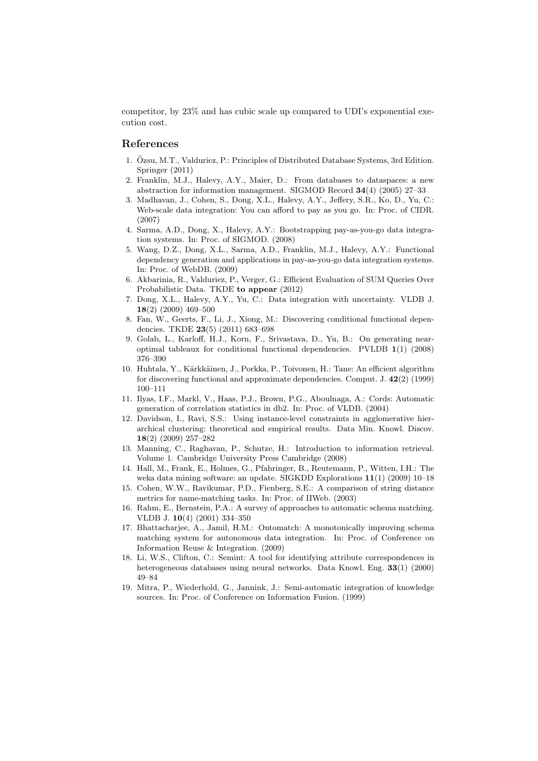competitor, by 23% and has cubic scale up compared to UDI's exponential execution cost.

#### References

- 1. Ozsu, M.T., Valduriez, P.: Principles of Distributed Database Systems, 3rd Edition. ¨ Springer (2011)
- 2. Franklin, M.J., Halevy, A.Y., Maier, D.: From databases to dataspaces: a new abstraction for information management. SIGMOD Record 34(4) (2005) 27–33
- 3. Madhavan, J., Cohen, S., Dong, X.L., Halevy, A.Y., Jeffery, S.R., Ko, D., Yu, C.: Web-scale data integration: You can afford to pay as you go. In: Proc. of CIDR. (2007)
- 4. Sarma, A.D., Dong, X., Halevy, A.Y.: Bootstrapping pay-as-you-go data integration systems. In: Proc. of SIGMOD. (2008)
- 5. Wang, D.Z., Dong, X.L., Sarma, A.D., Franklin, M.J., Halevy, A.Y.: Functional dependency generation and applications in pay-as-you-go data integration systems. In: Proc. of WebDB. (2009)
- 6. Akbarinia, R., Valduriez, P., Verger, G.: Efficient Evaluation of SUM Queries Over Probabilistic Data. TKDE to appear (2012)
- 7. Dong, X.L., Halevy, A.Y., Yu, C.: Data integration with uncertainty. VLDB J. 18(2) (2009) 469–500
- 8. Fan, W., Geerts, F., Li, J., Xiong, M.: Discovering conditional functional dependencies. TKDE 23(5) (2011) 683–698
- 9. Golab, L., Karloff, H.J., Korn, F., Srivastava, D., Yu, B.: On generating nearoptimal tableaux for conditional functional dependencies. PVLDB 1(1) (2008) 376–390
- 10. Huhtala, Y., Kärkkäinen, J., Porkka, P., Toivonen, H.: Tane: An efficient algorithm for discovering functional and approximate dependencies. Comput. J. 42(2) (1999) 100–111
- 11. Ilyas, I.F., Markl, V., Haas, P.J., Brown, P.G., Aboulnaga, A.: Cords: Automatic generation of correlation statistics in db2. In: Proc. of VLDB. (2004)
- 12. Davidson, I., Ravi, S.S.: Using instance-level constraints in agglomerative hierarchical clustering: theoretical and empirical results. Data Min. Knowl. Discov. 18(2) (2009) 257–282
- 13. Manning, C., Raghavan, P., Schutze, H.: Introduction to information retrieval. Volume 1. Cambridge University Press Cambridge (2008)
- 14. Hall, M., Frank, E., Holmes, G., Pfahringer, B., Reutemann, P., Witten, I.H.: The weka data mining software: an update. SIGKDD Explorations 11(1) (2009) 10–18
- 15. Cohen, W.W., Ravikumar, P.D., Fienberg, S.E.: A comparison of string distance metrics for name-matching tasks. In: Proc. of IIWeb. (2003)
- 16. Rahm, E., Bernstein, P.A.: A survey of approaches to automatic schema matching. VLDB J. 10(4) (2001) 334–350
- 17. Bhattacharjee, A., Jamil, H.M.: Ontomatch: A monotonically improving schema matching system for autonomous data integration. In: Proc. of Conference on Information Reuse & Integration. (2009)
- 18. Li, W.S., Clifton, C.: Semint: A tool for identifying attribute correspondences in heterogeneous databases using neural networks. Data Knowl. Eng. 33(1) (2000) 49–84
- 19. Mitra, P., Wiederhold, G., Jannink, J.: Semi-automatic integration of knowledge sources. In: Proc. of Conference on Information Fusion. (1999)